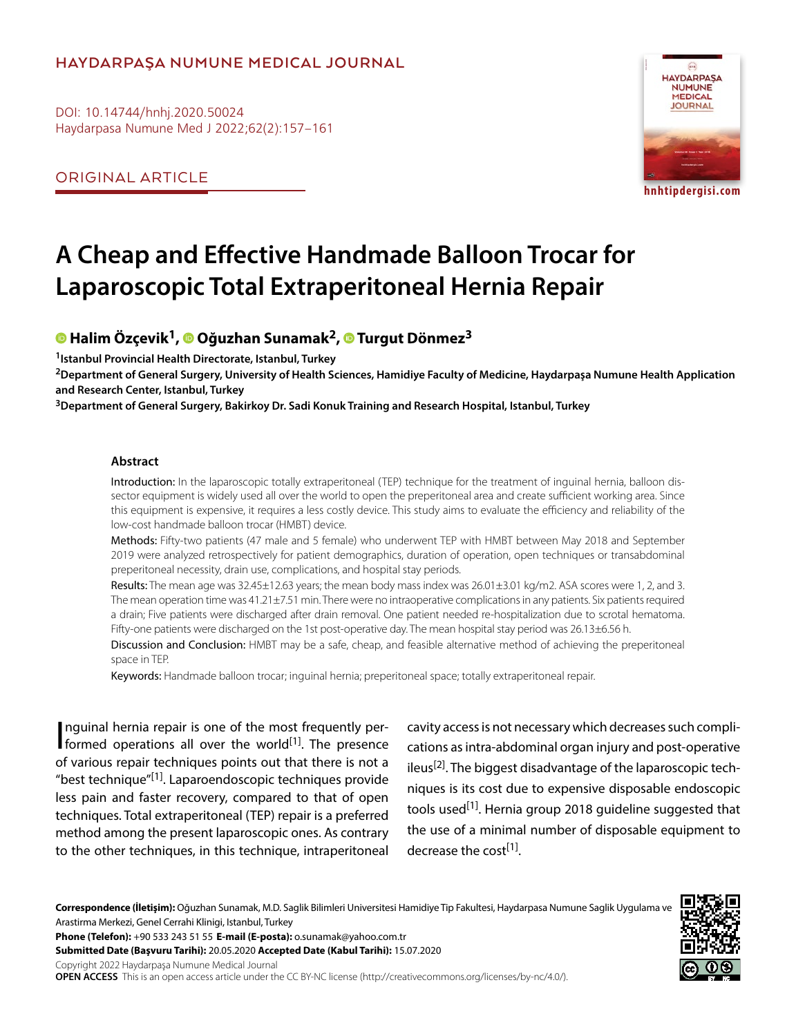# **HAYDARPAŞA NUMUNE MEDICAL JOURNAL**

DOI: 10.14744/hnhj.2020.50024 Haydarpasa Numune Med J 2022;62(2):157–161

ORIGINAL ARTICLE



**hnhtipdergisi.com**

# **A Cheap and Effective Handmade Balloon Trocar for Laparoscopic Total Extraperitoneal Hernia Repair**

# **Halim Özçevik1, [O](https://orcid.org/0000-0003-4588-0112
)ğuzhan Sunamak2,Turgut Dönmez3**

**1Istanbul Provincial Health Directorate, Istanbul, Turkey**

**2Department of General Surgery, University of Health Sciences, Hamidiye Faculty of Medicine, Haydarpaşa Numune Health Application and Research Center, Istanbul, Turkey**

**3Department of General Surgery, Bakirkoy Dr. Sadi Konuk Training and Research Hospital, Istanbul, Turkey**

#### **Abstract**

Introduction: In the laparoscopic totally extraperitoneal (TEP) technique for the treatment of inquinal hernia, balloon dissector equipment is widely used all over the world to open the preperitoneal area and create sufficient working area. Since this equipment is expensive, it requires a less costly device. This study aims to evaluate the efficiency and reliability of the low-cost handmade balloon trocar (HMBT) device.

Methods: Fifty-two patients (47 male and 5 female) who underwent TEP with HMBT between May 2018 and September 2019 were analyzed retrospectively for patient demographics, duration of operation, open techniques or transabdominal preperitoneal necessity, drain use, complications, and hospital stay periods.

Results: The mean age was 32.45±12.63 years; the mean body mass index was 26.01±3.01 kg/m2. ASA scores were 1, 2, and 3. The mean operation time was 41.21±7.51 min. There were no intraoperative complications in any patients. Six patients required a drain; Five patients were discharged after drain removal. One patient needed re-hospitalization due to scrotal hematoma. Fifty-one patients were discharged on the 1st post-operative day. The mean hospital stay period was 26.13±6.56 h.

Discussion and Conclusion: HMBT may be a safe, cheap, and feasible alternative method of achieving the preperitoneal space in TEP.

Keywords: Handmade balloon trocar; inguinal hernia; preperitoneal space; totally extraperitoneal repair.

Inguinal hernia repair is one of the most frequently per-<br>formed operations all over the world<sup>[1]</sup>. The presence nguinal hernia repair is one of the most frequently perof various repair techniques points out that there is not a "best technique"[1]. Laparoendoscopic techniques provide less pain and faster recovery, compared to that of open techniques. Total extraperitoneal (TEP) repair is a preferred method among the present laparoscopic ones. As contrary to the other techniques, in this technique, intraperitoneal

cavity access is not necessary which decreases such complications as intra-abdominal organ injury and post-operative ileus<sup>[2]</sup>. The biggest disadvantage of the laparoscopic techniques is its cost due to expensive disposable endoscopic tools used<sup>[1]</sup>. Hernia group 2018 guideline suggested that the use of a minimal number of disposable equipment to decrease the cost<sup>[1]</sup>.

**Correspondence (İletişim):** Oğuzhan Sunamak, M.D. Saglik Bilimleri Universitesi Hamidiye Tip Fakultesi, Haydarpasa Numune Saglik Uygulama ve Arastirma Merkezi, Genel Cerrahi Klinigi, Istanbul, Turkey



**Submitted Date (Başvuru Tarihi):** 20.05.2020 **Accepted Date (Kabul Tarihi):** 15.07.2020

Copyright 2022 Haydarpaşa Numune Medical Journal

**OPEN ACCESS** This is an open access article under the CC BY-NC license (http://creativecommons.org/licenses/by-nc/4.0/).

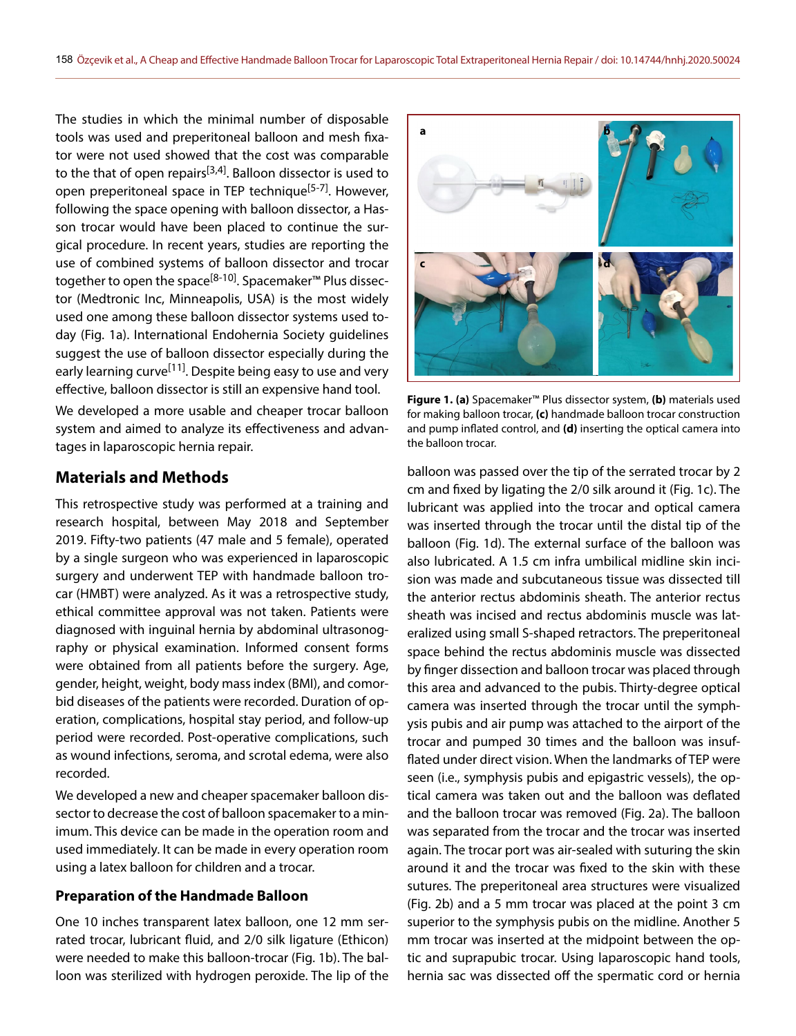The studies in which the minimal number of disposable tools was used and preperitoneal balloon and mesh fixator were not used showed that the cost was comparable to the that of open repairs<sup>[3,4]</sup>. Balloon dissector is used to open preperitoneal space in TEP technique<sup>[5-7]</sup>. However, following the space opening with balloon dissector, a Hasson trocar would have been placed to continue the surgical procedure. In recent years, studies are reporting the use of combined systems of balloon dissector and trocar together to open the space<sup>[8-10]</sup>. Spacemaker™ Plus dissector (Medtronic Inc, Minneapolis, USA) is the most widely used one among these balloon dissector systems used today (Fig. 1a). International Endohernia Society guidelines suggest the use of balloon dissector especially during the early learning curve<sup>[11]</sup>. Despite being easy to use and very effective, balloon dissector is still an expensive hand tool.

We developed a more usable and cheaper trocar balloon system and aimed to analyze its effectiveness and advantages in laparoscopic hernia repair.

### **Materials and Methods**

This retrospective study was performed at a training and research hospital, between May 2018 and September 2019. Fifty-two patients (47 male and 5 female), operated by a single surgeon who was experienced in laparoscopic surgery and underwent TEP with handmade balloon trocar (HMBT) were analyzed. As it was a retrospective study, ethical committee approval was not taken. Patients were diagnosed with inguinal hernia by abdominal ultrasonography or physical examination. Informed consent forms were obtained from all patients before the surgery. Age, gender, height, weight, body mass index (BMI), and comorbid diseases of the patients were recorded. Duration of operation, complications, hospital stay period, and follow-up period were recorded. Post-operative complications, such as wound infections, seroma, and scrotal edema, were also recorded.

We developed a new and cheaper spacemaker balloon dissector to decrease the cost of balloon spacemaker to a minimum. This device can be made in the operation room and used immediately. It can be made in every operation room using a latex balloon for children and a trocar.

#### **Preparation of the Handmade Balloon**

One 10 inches transparent latex balloon, one 12 mm serrated trocar, lubricant fluid, and 2/0 silk ligature (Ethicon) were needed to make this balloon-trocar (Fig. 1b). The balloon was sterilized with hydrogen peroxide. The lip of the



**Figure 1. (a)** Spacemaker™ Plus dissector system, **(b)** materials used for making balloon trocar, **(c)** handmade balloon trocar construction and pump inflated control, and **(d)** inserting the optical camera into the balloon trocar.

balloon was passed over the tip of the serrated trocar by 2 cm and fixed by ligating the 2/0 silk around it (Fig. 1c). The lubricant was applied into the trocar and optical camera was inserted through the trocar until the distal tip of the balloon (Fig. 1d). The external surface of the balloon was also lubricated. A 1.5 cm infra umbilical midline skin incision was made and subcutaneous tissue was dissected till the anterior rectus abdominis sheath. The anterior rectus sheath was incised and rectus abdominis muscle was lateralized using small S-shaped retractors. The preperitoneal space behind the rectus abdominis muscle was dissected by finger dissection and balloon trocar was placed through this area and advanced to the pubis. Thirty-degree optical camera was inserted through the trocar until the symphysis pubis and air pump was attached to the airport of the trocar and pumped 30 times and the balloon was insufflated under direct vision. When the landmarks of TEP were seen (i.e., symphysis pubis and epigastric vessels), the optical camera was taken out and the balloon was deflated and the balloon trocar was removed (Fig. 2a). The balloon was separated from the trocar and the trocar was inserted again. The trocar port was air-sealed with suturing the skin around it and the trocar was fixed to the skin with these sutures. The preperitoneal area structures were visualized (Fig. 2b) and a 5 mm trocar was placed at the point 3 cm superior to the symphysis pubis on the midline. Another 5 mm trocar was inserted at the midpoint between the optic and suprapubic trocar. Using laparoscopic hand tools, hernia sac was dissected off the spermatic cord or hernia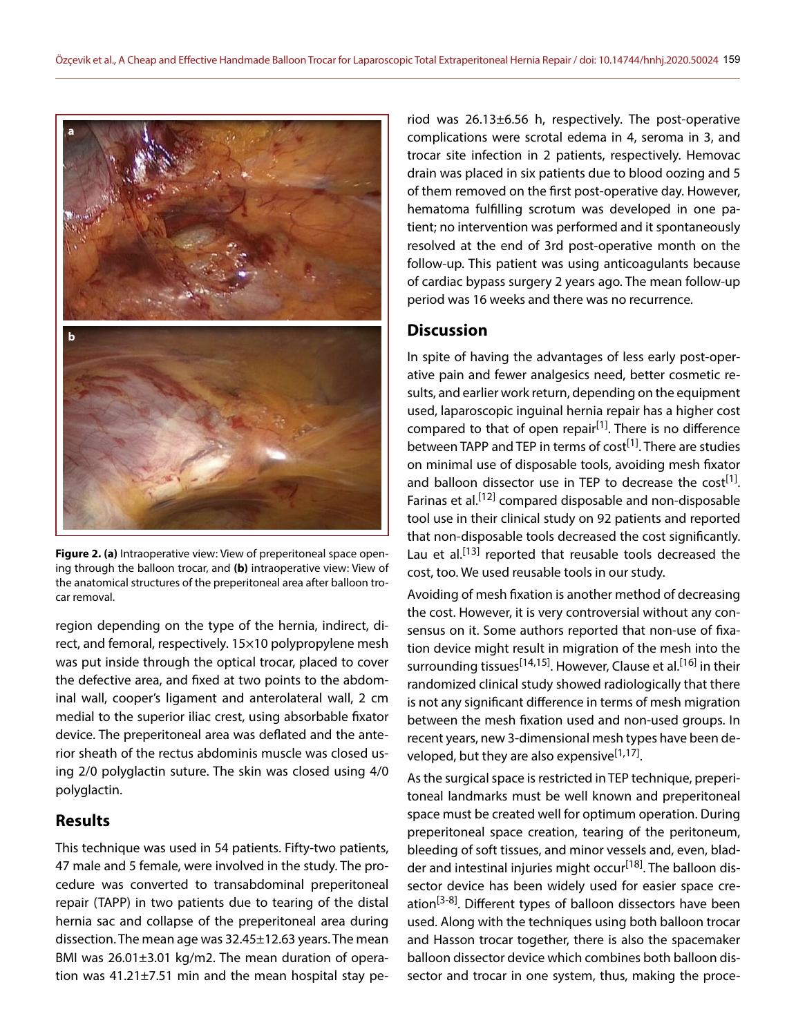

**Figure 2. (a)** Intraoperative view: View of preperitoneal space opening through the balloon trocar, and **(b)** intraoperative view: View of the anatomical structures of the preperitoneal area after balloon trocar removal.

region depending on the type of the hernia, indirect, direct, and femoral, respectively. 15×10 polypropylene mesh was put inside through the optical trocar, placed to cover the defective area, and fixed at two points to the abdominal wall, cooper's ligament and anterolateral wall, 2 cm medial to the superior iliac crest, using absorbable fixator device. The preperitoneal area was deflated and the anterior sheath of the rectus abdominis muscle was closed using 2/0 polyglactin suture. The skin was closed using 4/0 polyglactin.

# **Results**

This technique was used in 54 patients. Fifty-two patients, 47 male and 5 female, were involved in the study. The procedure was converted to transabdominal preperitoneal repair (TAPP) in two patients due to tearing of the distal hernia sac and collapse of the preperitoneal area during dissection. The mean age was 32.45±12.63 years. The mean BMI was 26.01±3.01 kg/m2. The mean duration of operation was 41.21±7.51 min and the mean hospital stay pe-

riod was 26.13±6.56 h, respectively. The post-operative complications were scrotal edema in 4, seroma in 3, and trocar site infection in 2 patients, respectively. Hemovac drain was placed in six patients due to blood oozing and 5 of them removed on the first post-operative day. However, hematoma fulfilling scrotum was developed in one patient; no intervention was performed and it spontaneously resolved at the end of 3rd post-operative month on the follow-up. This patient was using anticoagulants because of cardiac bypass surgery 2 years ago. The mean follow-up period was 16 weeks and there was no recurrence.

# **Discussion**

In spite of having the advantages of less early post-operative pain and fewer analgesics need, better cosmetic results, and earlier work return, depending on the equipment used, laparoscopic inguinal hernia repair has a higher cost compared to that of open repair<sup>[1]</sup>. There is no difference between TAPP and TEP in terms of  $cost^{[1]}$ . There are studies on minimal use of disposable tools, avoiding mesh fixator and balloon dissector use in TEP to decrease the cost<sup>[1]</sup>. Farinas et al.<sup>[12]</sup> compared disposable and non-disposable tool use in their clinical study on 92 patients and reported that non-disposable tools decreased the cost significantly. Lau et al.<sup>[13]</sup> reported that reusable tools decreased the cost, too. We used reusable tools in our study.

Avoiding of mesh fixation is another method of decreasing the cost. However, it is very controversial without any consensus on it. Some authors reported that non-use of fixation device might result in migration of the mesh into the surrounding tissues<sup>[14,15]</sup>. However, Clause et al.<sup>[16]</sup> in their randomized clinical study showed radiologically that there is not any significant difference in terms of mesh migration between the mesh fixation used and non-used groups. In recent years, new 3-dimensional mesh types have been developed, but they are also expensive<sup>[1,17]</sup>.

As the surgical space is restricted in TEP technique, preperitoneal landmarks must be well known and preperitoneal space must be created well for optimum operation. During preperitoneal space creation, tearing of the peritoneum, bleeding of soft tissues, and minor vessels and, even, bladder and intestinal injuries might occur<sup>[18]</sup>. The balloon dissector device has been widely used for easier space creation<sup>[3-8]</sup>. Different types of balloon dissectors have been used. Along with the techniques using both balloon trocar and Hasson trocar together, there is also the spacemaker balloon dissector device which combines both balloon dissector and trocar in one system, thus, making the proce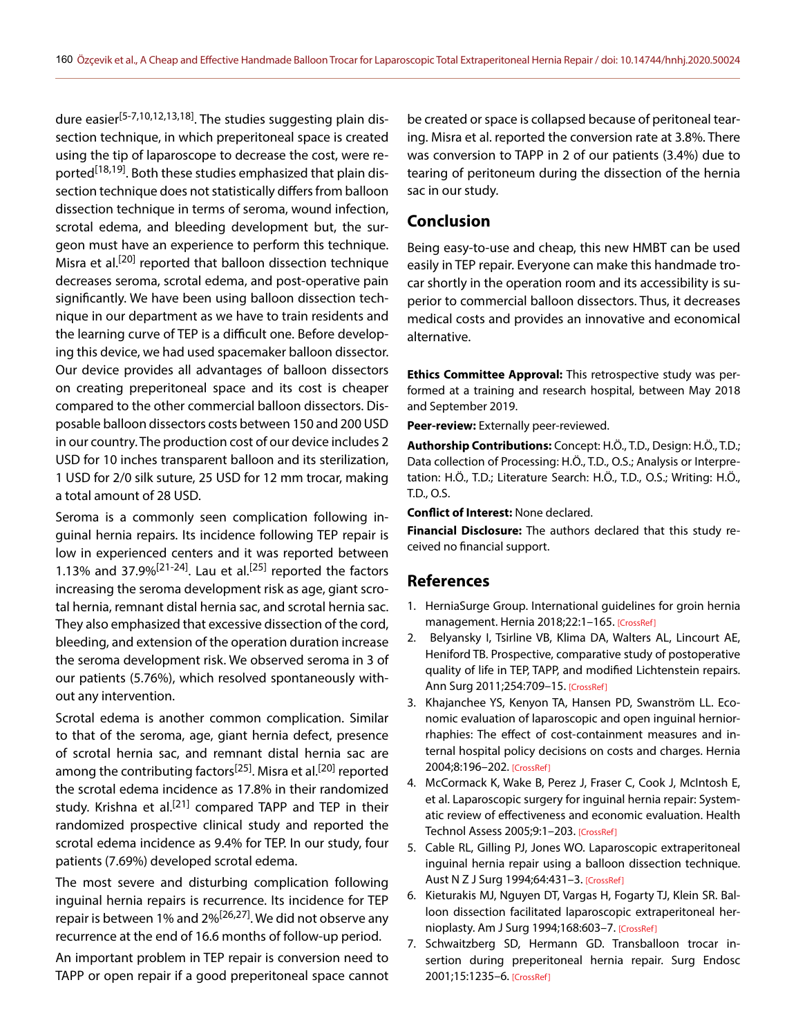dure easier<sup>[5-7,10,12,13,18]</sup>. The studies suggesting plain dissection technique, in which preperitoneal space is created using the tip of laparoscope to decrease the cost, were reported<sup>[18,19]</sup>. Both these studies emphasized that plain dissection technique does not statistically differs from balloon dissection technique in terms of seroma, wound infection, scrotal edema, and bleeding development but, the surgeon must have an experience to perform this technique. Misra et al.<sup>[20]</sup> reported that balloon dissection technique decreases seroma, scrotal edema, and post-operative pain significantly. We have been using balloon dissection technique in our department as we have to train residents and the learning curve of TEP is a difficult one. Before developing this device, we had used spacemaker balloon dissector. Our device provides all advantages of balloon dissectors on creating preperitoneal space and its cost is cheaper compared to the other commercial balloon dissectors. Disposable balloon dissectors costs between 150 and 200 USD in our country. The production cost of our device includes 2 USD for 10 inches transparent balloon and its sterilization, 1 USD for 2/0 silk suture, 25 USD for 12 mm trocar, making a total amount of 28 USD.

Seroma is a commonly seen complication following inguinal hernia repairs. Its incidence following TEP repair is low in experienced centers and it was reported between 1.13% and 37.9% $[21-24]$ . Lau et al.<sup>[25]</sup> reported the factors increasing the seroma development risk as age, giant scrotal hernia, remnant distal hernia sac, and scrotal hernia sac. They also emphasized that excessive dissection of the cord, bleeding, and extension of the operation duration increase the seroma development risk. We observed seroma in 3 of our patients (5.76%), which resolved spontaneously without any intervention.

Scrotal edema is another common complication. Similar to that of the seroma, age, giant hernia defect, presence of scrotal hernia sac, and remnant distal hernia sac are among the contributing factors<sup>[25]</sup>. Misra et al.<sup>[20]</sup> reported the scrotal edema incidence as 17.8% in their randomized study. Krishna et al.<sup>[21]</sup> compared TAPP and TEP in their randomized prospective clinical study and reported the scrotal edema incidence as 9.4% for TEP. In our study, four patients (7.69%) developed scrotal edema.

The most severe and disturbing complication following inguinal hernia repairs is recurrence. Its incidence for TEP repair is between 1% and 2%<sup>[26,27]</sup>. We did not observe any recurrence at the end of 16.6 months of follow-up period.

An important problem in TEP repair is conversion need to TAPP or open repair if a good preperitoneal space cannot

be created or space is collapsed because of peritoneal tearing. Misra et al. reported the conversion rate at 3.8%. There was conversion to TAPP in 2 of our patients (3.4%) due to tearing of peritoneum during the dissection of the hernia sac in our study.

#### **Conclusion**

Being easy-to-use and cheap, this new HMBT can be used easily in TEP repair. Everyone can make this handmade trocar shortly in the operation room and its accessibility is superior to commercial balloon dissectors. Thus, it decreases medical costs and provides an innovative and economical alternative.

**Ethics Committee Approval:** This retrospective study was performed at a training and research hospital, between May 2018 and September 2019.

**Peer-review:** Externally peer-reviewed.

**Authorship Contributions:** Concept: H.Ö., T.D., Design: H.Ö., T.D.; Data collection of Processing: H.Ö., T.D., O.S.; Analysis or Interpretation: H.Ö., T.D.; Literature Search: H.Ö., T.D., O.S.; Writing: H.Ö., T.D., O.S.

**Conflict of Interest:** None declared.

**Financial Disclosure:** The authors declared that this study received no financial support.

#### **References**

- 1. HerniaSurge Group. International guidelines for groin hernia management. Hernia 2018;22:1-165. [\[CrossRef\]](https://doi.org/10.1007/s10029-017-1668-x)
- 2. Belyansky I, Tsirline VB, Klima DA, Walters AL, Lincourt AE, Heniford TB. Prospective, comparative study of postoperative quality of life in TEP, TAPP, and modified Lichtenstein repairs. Ann Surg 2011;254:709–15. [\[CrossRef\]](https://doi.org/10.1097/SLA.0b013e3182359d07)
- 3. Khajanchee YS, Kenyon TA, Hansen PD, Swanström LL. Economic evaluation of laparoscopic and open inguinal herniorrhaphies: The effect of cost-containment measures and internal hospital policy decisions on costs and charges. Hernia 2004;8:196–202. [\[CrossRef\]](https://doi.org/10.1007/s10029-004-0212-y)
- 4. McCormack K, Wake B, Perez J, Fraser C, Cook J, McIntosh E, et al. Laparoscopic surgery for inguinal hernia repair: Systematic review of effectiveness and economic evaluation. Health Technol Assess 2005;9:1–203. [\[CrossRef\]](https://doi.org/10.3310/hta9140)
- 5. Cable RL, Gilling PJ, Jones WO. Laparoscopic extraperitoneal inguinal hernia repair using a balloon dissection technique. Aust N Z J Surg 1994;64:431–3[. \[CrossRef\]](https://doi.org/10.1111/j.1445-2197.1994.tb02246.x)
- 6. Kieturakis MJ, Nguyen DT, Vargas H, Fogarty TJ, Klein SR. Balloon dissection facilitated laparoscopic extraperitoneal hernioplasty. Am J Surg 1994;168:603–7. [\[CrossRef\]](https://doi.org/10.1007/978-3-319-43045-4_13)
- 7. Schwaitzberg SD, Hermann GD. Transballoon trocar insertion during preperitoneal hernia repair. Surg Endosc 2001;15:1235–6[. \[CrossRef\]](https://doi.org/10.1007/s004640080127)